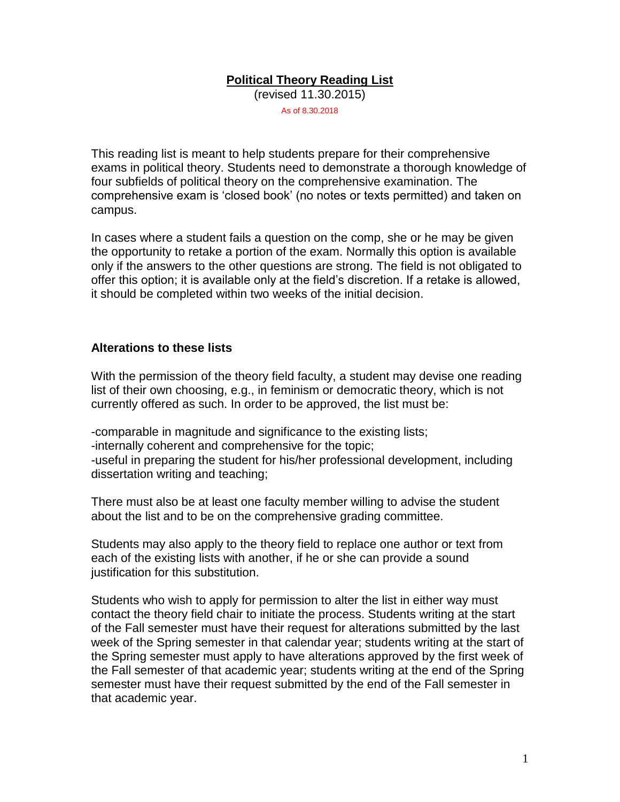# **Political Theory Reading List**

(revised 11.30.2015)

As of 8.30.2018

This reading list is meant to help students prepare for their comprehensive exams in political theory. Students need to demonstrate a thorough knowledge of four subfields of political theory on the comprehensive examination. The comprehensive exam is 'closed book' (no notes or texts permitted) and taken on campus.

In cases where a student fails a question on the comp, she or he may be given the opportunity to retake a portion of the exam. Normally this option is available only if the answers to the other questions are strong. The field is not obligated to offer this option; it is available only at the field's discretion. If a retake is allowed, it should be completed within two weeks of the initial decision.

#### **Alterations to these lists**

With the permission of the theory field faculty, a student may devise one reading list of their own choosing, e.g., in feminism or democratic theory, which is not currently offered as such. In order to be approved, the list must be:

-comparable in magnitude and significance to the existing lists; -internally coherent and comprehensive for the topic; -useful in preparing the student for his/her professional development, including dissertation writing and teaching;

There must also be at least one faculty member willing to advise the student about the list and to be on the comprehensive grading committee.

Students may also apply to the theory field to replace one author or text from each of the existing lists with another, if he or she can provide a sound justification for this substitution.

Students who wish to apply for permission to alter the list in either way must contact the theory field chair to initiate the process. Students writing at the start of the Fall semester must have their request for alterations submitted by the last week of the Spring semester in that calendar year; students writing at the start of the Spring semester must apply to have alterations approved by the first week of the Fall semester of that academic year; students writing at the end of the Spring semester must have their request submitted by the end of the Fall semester in that academic year.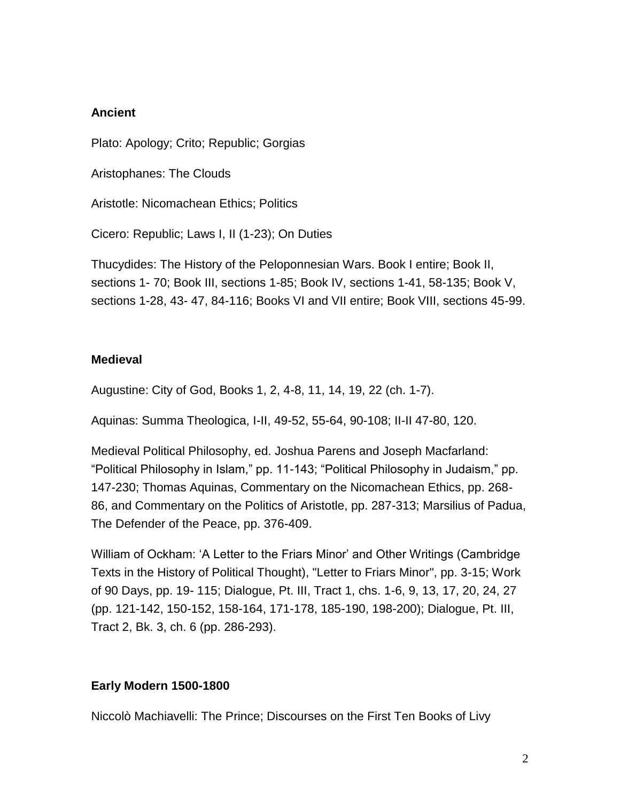## **Ancient**

Plato: Apology; Crito; Republic; Gorgias

Aristophanes: The Clouds

Aristotle: Nicomachean Ethics; Politics

Cicero: Republic; Laws I, II (1-23); On Duties

Thucydides: The History of the Peloponnesian Wars. Book I entire; Book II, sections 1- 70; Book III, sections 1-85; Book IV, sections 1-41, 58-135; Book V, sections 1-28, 43- 47, 84-116; Books VI and VII entire; Book VIII, sections 45-99.

#### **Medieval**

Augustine: City of God, Books 1, 2, 4-8, 11, 14, 19, 22 (ch. 1-7).

Aquinas: Summa Theologica, I-II, 49-52, 55-64, 90-108; II-II 47-80, 120.

Medieval Political Philosophy, ed. Joshua Parens and Joseph Macfarland: "Political Philosophy in Islam," pp. 11-143; "Political Philosophy in Judaism," pp. 147-230; Thomas Aquinas, Commentary on the Nicomachean Ethics, pp. 268- 86, and Commentary on the Politics of Aristotle, pp. 287-313; Marsilius of Padua, The Defender of the Peace, pp. 376-409.

William of Ockham: 'A Letter to the Friars Minor' and Other Writings (Cambridge Texts in the History of Political Thought), "Letter to Friars Minor", pp. 3-15; Work of 90 Days, pp. 19- 115; Dialogue, Pt. III, Tract 1, chs. 1-6, 9, 13, 17, 20, 24, 27 (pp. 121-142, 150-152, 158-164, 171-178, 185-190, 198-200); Dialogue, Pt. III, Tract 2, Bk. 3, ch. 6 (pp. 286-293).

# **Early Modern 1500-1800**

Niccolò Machiavelli: The Prince; Discourses on the First Ten Books of Livy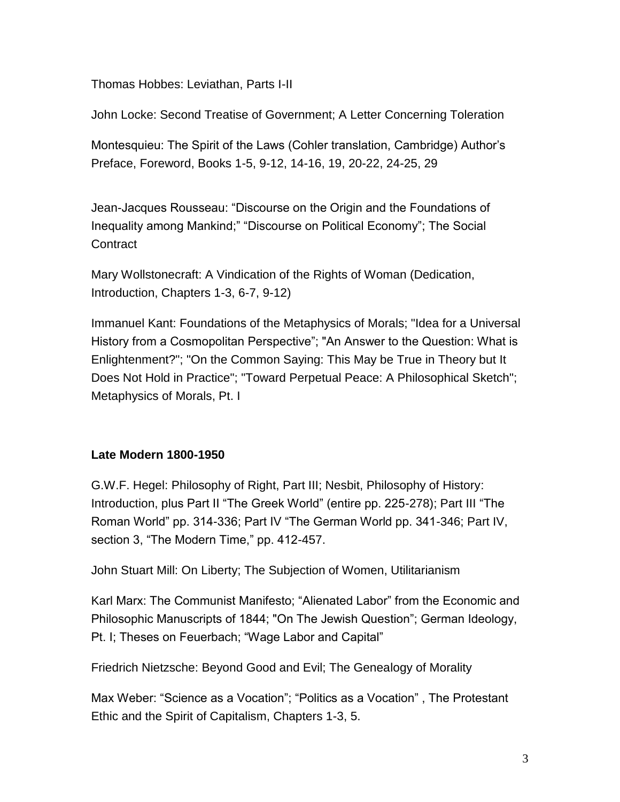Thomas Hobbes: Leviathan, Parts I-II

John Locke: Second Treatise of Government; A Letter Concerning Toleration

Montesquieu: The Spirit of the Laws (Cohler translation, Cambridge) Author's Preface, Foreword, Books 1-5, 9-12, 14-16, 19, 20-22, 24-25, 29

Jean-Jacques Rousseau: "Discourse on the Origin and the Foundations of Inequality among Mankind;" "Discourse on Political Economy"; The Social **Contract** 

Mary Wollstonecraft: A Vindication of the Rights of Woman (Dedication, Introduction, Chapters 1-3, 6-7, 9-12)

Immanuel Kant: Foundations of the Metaphysics of Morals; "Idea for a Universal History from a Cosmopolitan Perspective"; "An Answer to the Question: What is Enlightenment?"; "On the Common Saying: This May be True in Theory but It Does Not Hold in Practice"; "Toward Perpetual Peace: A Philosophical Sketch"; Metaphysics of Morals, Pt. I

# **Late Modern 1800-1950**

G.W.F. Hegel: Philosophy of Right, Part III; Nesbit, Philosophy of History: Introduction, plus Part II "The Greek World" (entire pp. 225-278); Part III "The Roman World" pp. 314-336; Part IV "The German World pp. 341-346; Part IV, section 3, "The Modern Time," pp. 412-457.

John Stuart Mill: On Liberty; The Subjection of Women, Utilitarianism

Karl Marx: The Communist Manifesto; "Alienated Labor" from the Economic and Philosophic Manuscripts of 1844; "On The Jewish Question"; German Ideology, Pt. I; Theses on Feuerbach; "Wage Labor and Capital"

Friedrich Nietzsche: Beyond Good and Evil; The Genealogy of Morality

Max Weber: "Science as a Vocation"; "Politics as a Vocation" , The Protestant Ethic and the Spirit of Capitalism, Chapters 1-3, 5.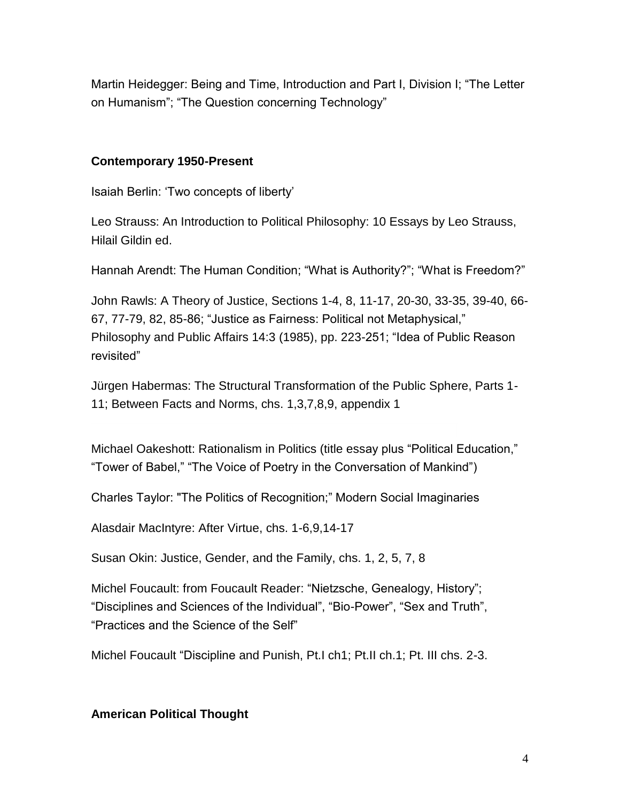Martin Heidegger: Being and Time, Introduction and Part I, Division I; "The Letter on Humanism"; "The Question concerning Technology"

#### **Contemporary 1950-Present**

Isaiah Berlin: 'Two concepts of liberty'

Leo Strauss: An Introduction to Political Philosophy: 10 Essays by Leo Strauss, Hilail Gildin ed.

Hannah Arendt: The Human Condition; "What is Authority?"; "What is Freedom?"

John Rawls: A Theory of Justice, Sections 1-4, 8, 11-17, 20-30, 33-35, 39-40, 66- 67, 77-79, 82, 85-86; "Justice as Fairness: Political not Metaphysical," Philosophy and Public Affairs 14:3 (1985), pp. 223-251; "Idea of Public Reason revisited"

Jürgen Habermas: The Structural Transformation of the Public Sphere, Parts 1- 11; Between Facts and Norms, chs. 1,3,7,8,9, appendix 1

Michael Oakeshott: Rationalism in Politics (title essay plus "Political Education," "Tower of Babel," "The Voice of Poetry in the Conversation of Mankind")

Charles Taylor: "The Politics of Recognition;" Modern Social Imaginaries

Alasdair MacIntyre: After Virtue, chs. 1-6,9,14-17

Susan Okin: Justice, Gender, and the Family, chs. 1, 2, 5, 7, 8

Michel Foucault: from Foucault Reader: "Nietzsche, Genealogy, History"; "Disciplines and Sciences of the Individual", "Bio-Power", "Sex and Truth", "Practices and the Science of the Self"

Michel Foucault "Discipline and Punish, Pt.I ch1; Pt.II ch.1; Pt. III chs. 2-3.

#### **American Political Thought**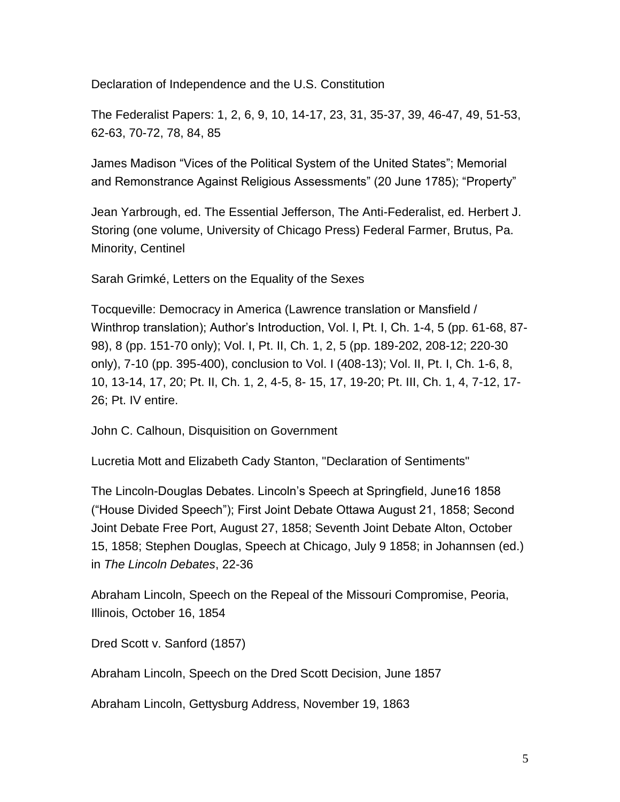Declaration of Independence and the U.S. Constitution

The Federalist Papers: 1, 2, 6, 9, 10, 14-17, 23, 31, 35-37, 39, 46-47, 49, 51-53, 62-63, 70-72, 78, 84, 85

James Madison "Vices of the Political System of the United States"; Memorial and Remonstrance Against Religious Assessments" (20 June 1785); "Property"

Jean Yarbrough, ed. The Essential Jefferson, The Anti-Federalist, ed. Herbert J. Storing (one volume, University of Chicago Press) Federal Farmer, Brutus, Pa. Minority, Centinel

Sarah Grimké, Letters on the Equality of the Sexes

Tocqueville: Democracy in America (Lawrence translation or Mansfield / Winthrop translation); Author's Introduction, Vol. I, Pt. I, Ch. 1-4, 5 (pp. 61-68, 87- 98), 8 (pp. 151-70 only); Vol. I, Pt. II, Ch. 1, 2, 5 (pp. 189-202, 208-12; 220-30 only), 7-10 (pp. 395-400), conclusion to Vol. I (408-13); Vol. II, Pt. I, Ch. 1-6, 8, 10, 13-14, 17, 20; Pt. II, Ch. 1, 2, 4-5, 8- 15, 17, 19-20; Pt. III, Ch. 1, 4, 7-12, 17- 26; Pt. IV entire.

John C. Calhoun, Disquisition on Government

Lucretia Mott and Elizabeth Cady Stanton, "Declaration of Sentiments"

The Lincoln-Douglas Debates. Lincoln's Speech at Springfield, June16 1858 ("House Divided Speech"); First Joint Debate Ottawa August 21, 1858; Second Joint Debate Free Port, August 27, 1858; Seventh Joint Debate Alton, October 15, 1858; Stephen Douglas, Speech at Chicago, July 9 1858; in Johannsen (ed.) in *The Lincoln Debates*, 22-36

Abraham Lincoln, Speech on the Repeal of the Missouri Compromise, Peoria, Illinois, October 16, 1854

Dred Scott v. Sanford (1857)

Abraham Lincoln, Speech on the Dred Scott Decision, June 1857

Abraham Lincoln, Gettysburg Address, November 19, 1863